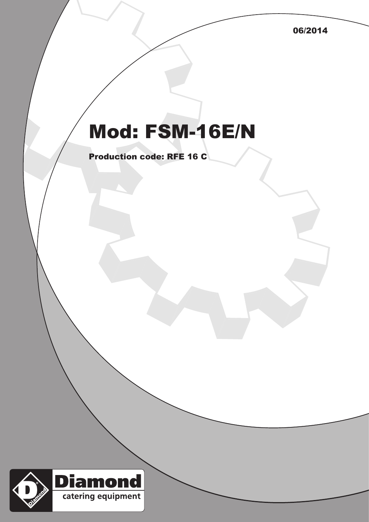06/2014

## Mod: FSM-16E/N

Production code: RFE 16 C

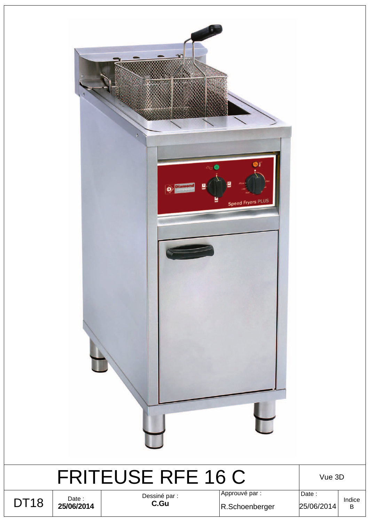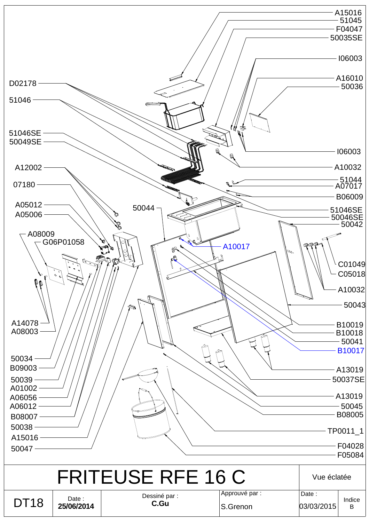|                                      |                             |                                                |                            |                     | A15016<br>51045<br>F04047<br>50035SE |
|--------------------------------------|-----------------------------|------------------------------------------------|----------------------------|---------------------|--------------------------------------|
|                                      |                             |                                                |                            |                     | 106003                               |
| D02178                               |                             |                                                |                            |                     | A16010<br>50036                      |
| 51046                                |                             |                                                |                            |                     |                                      |
| 51046SE<br>50049SE                   |                             |                                                | (你。                        |                     |                                      |
| A12002                               |                             |                                                | 黾<br>$\mathbf{a}$          |                     | 106003<br>A10032                     |
| 07180                                |                             |                                                |                            |                     | – 51044<br>A07017                    |
|                                      |                             |                                                |                            |                     | B06009                               |
| A05012<br>A05006                     |                             | $50044 -$                                      |                            |                     | 51046SE<br>50046SE<br>-- 50042       |
| A08009<br>$\mathbf{e}$<br>0 O        | G06P01058<br>$\circ \circ'$ | 8<br>$\mathscr{A}$<br>⊕<br>$\circ$<br>r.<br>r) | A10017<br>11000.           | <b>PIP</b>          | C01049<br>C05018<br>A10032<br>50043  |
| A14078<br>A08003                     |                             |                                                |                            |                     | B10019<br>B10018                     |
| 50034                                |                             |                                                |                            |                     | $-50041$<br>B10017                   |
| B09003<br>50039                      |                             |                                                |                            |                     | A13019<br>50037SE                    |
| A01002<br>A06056<br>A06012<br>B08007 |                             |                                                |                            |                     | A13019<br>50045<br>B08005            |
| 50038<br>A15016                      |                             |                                                |                            |                     | TP0011_1                             |
| 50047                                |                             |                                                |                            |                     | F04028<br>F05084                     |
|                                      |                             | <b>FRITEUSE RFE 16 C</b>                       |                            | Vue éclatée         |                                      |
| <b>DT18</b>                          | Date:<br>25/06/2014         | Dessiné par :<br>C.Gu                          | Approuvé par :<br>S.Grenon | Date:<br>03/03/2015 | Indice<br>B                          |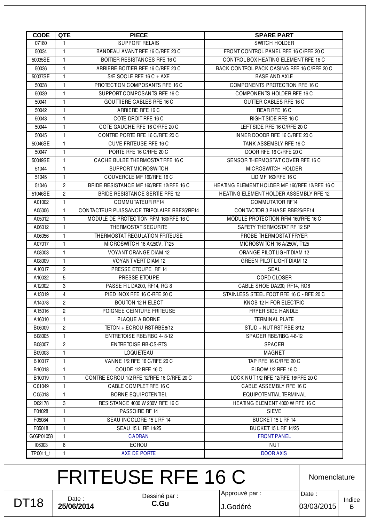DT18

Date : **25/06/2014** Dessiné par : **C.Gu**

FRITEUSE RFE 16 C

J.Godéré 03/03/2015

Nomenclature

Date :

| 1              | <b>BOITIER RESISTANCES RFE 16 C</b>                                 | CONTROL BOX HEATING ELEMENT RFE 16 C          |  |  |
|----------------|---------------------------------------------------------------------|-----------------------------------------------|--|--|
| $\mathbf{1}$   | ARRIERE BOITIER RFE 16 C/RFE 20 C                                   | BACK CONTROL PACK CASING RFE 16 C/RFE 20 C    |  |  |
| $\mathbf{1}$   | S/E SOCLE RFE 16 C + AXE                                            | <b>BASE AND AXLE</b>                          |  |  |
| $\mathbf{1}$   | PROTECTION COMPOSANTS RFE 16 C                                      | COMPONENTS PROTECTION RFE 16 C                |  |  |
| $\mathbf{1}$   | SUPPORT COMPOSANTS RFE 16 C                                         | COMPONENTS HOLDER RFE 16 C                    |  |  |
| 1              | <b>GOUTTIERE CABLES RFE 16 C</b>                                    | <b>GUTTER CABLES RFE 16 C</b>                 |  |  |
| $\mathbf{1}$   | ARRIERE RFE 16 C                                                    | REAR RFE 16 C                                 |  |  |
| $\mathbf{1}$   | COTE DROIT RFE 16 C                                                 | RIGHT SIDE RFE 16 C                           |  |  |
| $\mathbf{1}$   | COTE GAUCHE RFE 16 C/RFE 20 C                                       | LEFT SIDE RFE 16 C/RFE 20 C                   |  |  |
| 1              | CONTRE PORTE RFE 16 C/RFE 20 C                                      | INNER DOODR RFE 16 C/RFE 20 C                 |  |  |
| $\mathbf{1}$   | <b>CUVE FRITEUSE RFE 16 C</b><br>TANK ASSEMBLY RFE 16 C             |                                               |  |  |
| $\mathbf{1}$   | PORTE RFE 16 C/RFE 20 C<br>DOOR RFE 16 C/RFE 20 C                   |                                               |  |  |
| $\mathbf{1}$   | CACHE BULBE THERMOSTAT RFE 16 C<br>SENSOR THERMOSTAT COVER RFE 16 C |                                               |  |  |
| 1              | <b>SUPPORT MICROSWITCH</b><br>MICROSWITCH HOLDER                    |                                               |  |  |
| $\mathbf{1}$   | COUVERCLE MF 160/RFE 16 C<br>LID MF 160/RFE 16 C                    |                                               |  |  |
| $\overline{c}$ | BRIDE RESISTANCE MF 160/RFE 12/RFE 16 C                             | HEATING ELEMENT HOLDER MF 160/RFE 12/RFE 16 C |  |  |
| $\overline{2}$ | <b>BRIDE RESISTANCE SERTIE RFE 12</b>                               | HEATING ELEMENT HOLDER ASSEMBLY RFE 12        |  |  |
| 1              | <b>COMMUTATEUR RF14</b>                                             | <b>COMMUTATOR RF14</b>                        |  |  |
| $\mathbf{1}$   | CONTACTEUR PUISSANCE TRIPOLAIRE RBE25/RF14                          | CONTACTOR 3 PHASE RBE25/RF14                  |  |  |
| $\mathbf{1}$   | MODULE DE PROTECTION RFM 160/RFE 16 C                               | MODULE PROTECTION RFM 160/RFE 16 C            |  |  |
| $\mathbf{1}$   | THERMOSTAT SECURITE                                                 | SAFETY THERMOSTAT RF 12 SP                    |  |  |
| $\mathbf{1}$   | THERMOSTAT REGULATION FRITEUSE                                      | PROBE THERMOSTAT FRYER                        |  |  |
| 1              | MICROSWITCH 16 A/250V, T125                                         | MICROSWITCH 16 A/250V, T125                   |  |  |
| $\mathbf{1}$   | VOYANT ORANGE DIAM 12                                               | ORANGE PILOT LIGHT DIAM 12                    |  |  |
| $\mathbf{1}$   | VOYANT VERT DIAM 12                                                 | <b>GREEN PILOT LIGHT DIAM 12</b>              |  |  |
| $\overline{c}$ | PRESSE ETOUPE RF 14                                                 | SEAL                                          |  |  |
| 5              | PRESSE ETOUPE                                                       | CORD CLOSER                                   |  |  |
| 3              | PASSE FIL DA200, RF14, RG 8                                         | CABLE SHOE DA200, RF14, RG8                   |  |  |
| $\overline{4}$ | PIED INOX RFE 16 C-RFE 20 C                                         | STAINLESS STEEL FOOT RFE 16 C - RFE 20 C      |  |  |
| $\overline{c}$ | BOUTON 12 H ELECT                                                   | KNOB 12 H FOR ELECTRIC                        |  |  |
| $\overline{c}$ | POIGNEE CEINTURE FRITEUSE                                           | FRYER SIDE HANDLE                             |  |  |
| $\mathbf{1}$   | PLAQUE A BORNE                                                      | <b>TERMINAL PLATE</b>                         |  |  |
| $\overline{c}$ | TETON + ECROU RST-RBE8/12                                           | STUD + NUT RST RBE 8/12                       |  |  |
| 1              | ENTRETOISE RBE/RBG 4-8-12                                           | SPACER RBE/RBG 4-8-12                         |  |  |
| $\overline{2}$ | ENTRETOISE RB-CS-RTS                                                | <b>SPACER</b>                                 |  |  |
| $\mathbf{1}$   | LOQUETEAU                                                           | MAGNET                                        |  |  |
| 1.             | VANNE 1/2 RFE 16 C/RFE 20 C                                         | TAP RFE 16 C/RFE 20 C                         |  |  |
| 1.             | COUDE 1/2 RFE 16 C                                                  | ELBOW 1/2 RFE 16 C                            |  |  |
| $\mathbf{1}$   | CONTRE ECROU 1/2 RFE 12/RFE 16 C/RFE 20 C                           | LOCK NUT 1/2 RFE 12/RFE 16/RFE 20 C           |  |  |
| $\mathbf{1}$   | CABLE COMPLET RFE 16 C                                              | CABLE ASSEMBLY RFE 16 C                       |  |  |
| 1.             | <b>BORNE EQUIPOTENTIEL</b>                                          | EQUIPOTENTIAL TERMINAL                        |  |  |
| 3              | RESISTANCE 4000 W 230V RFE 16 C                                     | <b>HEATING ELEMENT 4000 W RFE 16 C</b>        |  |  |
| $\mathbf{1}$   | PASSOIRE RF 14                                                      | <b>SIEVE</b>                                  |  |  |
| $\mathbf{1}$   | SEAU INCOLORE 15 L RF 14                                            | BUCKET 15 L RF 14                             |  |  |
| 1.             | SEAU 15 L RF 14/25                                                  | BUCKET 15 L RF 14/25                          |  |  |
| 1.             | <b>CADRAN</b>                                                       | <b>FRONT PANEL</b>                            |  |  |
| 6              | ECROU                                                               | <b>NUT</b>                                    |  |  |
|                |                                                                     |                                               |  |  |
|                |                                                                     |                                               |  |  |

**CODE QTE PIECE** PIECE SPARE PART 07180 1 SUPPORT RELAIS SWITCH HOLDER

50034 1 BANDEAU AVANT RFE 16 C/RFE 20 C FRONT CONTROL PANEL RFE 16 C/RFE 20 C

Approuvé par :

Indice B